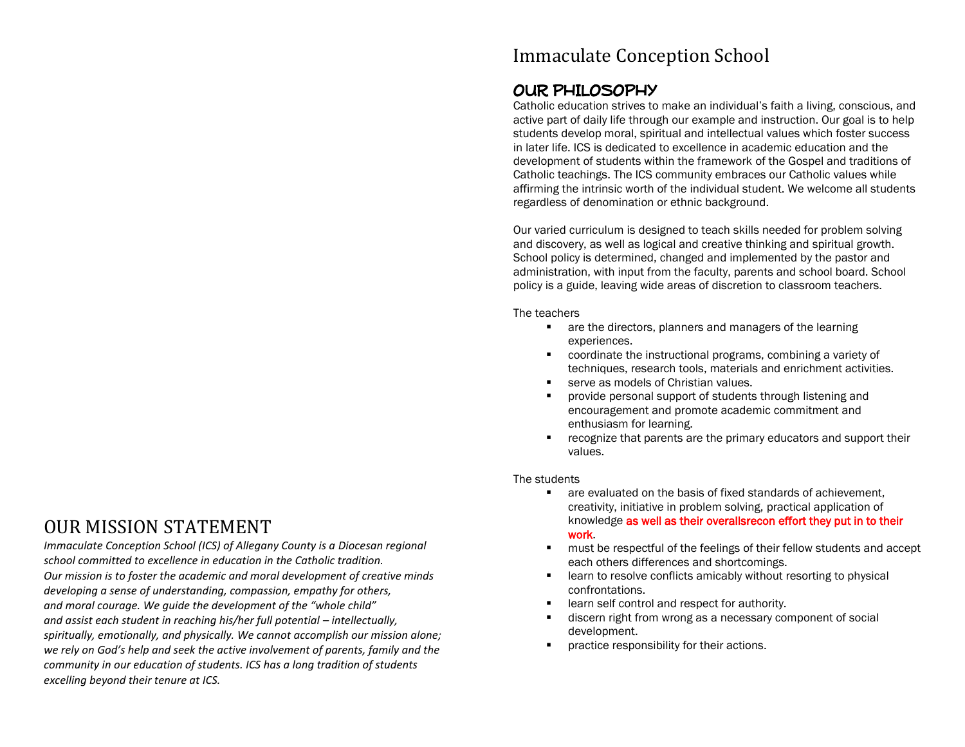## OUR MISSION STATEMENT

*Immaculate Conception School (ICS) of Allegany County is a Diocesan regional school committed to excellence in education in the Catholic tradition. Our mission is to foster the academic and moral development of creative minds developing a sense of understanding, compassion, empathy for others, and moral courage. We guide the development of the "whole child" and assist each student in reaching his/her full potential – intellectually, spiritually, emotionally, and physically. We cannot accomplish our mission alone; we rely on God's help and seek the active involvement of parents, family and the community in our education of students. ICS has a long tradition of students excelling beyond their tenure at ICS.*

## Immaculate Conception School

## OUR PHILOSOPHY

Catholic education strives to make an individual's faith a living, conscious, and active part of daily life through our example and instruction. Our goal is to help students develop moral, spiritual and intellectual values which foster success in later life. ICS is dedicated to excellence in academic education and the development of students within the framework of the Gospel and traditions of Catholic teachings. The ICS community embraces our Catholic values while affirming the intrinsic worth of the individual student. We welcome all students regardless of denomination or ethnic background.

Our varied curriculum is designed to teach skills needed for problem solving and discovery, as well as logical and creative thinking and spiritual growth. School policy is determined, changed and implemented by the pastor and administration, with input from the faculty, parents and school board. School policy is a guide, leaving wide areas of discretion to classroom teachers.

The teachers

- **a** are the directors, planners and managers of the learning experiences.
- coordinate the instructional programs, combining a variety of techniques, research tools, materials and enrichment activities.
- serve as models of Christian values.
- **Part of students through listening and provide personal support of students through listening and** encouragement and promote academic commitment and enthusiasm for learning.
- **F** recognize that parents are the primary educators and support their values.

#### The students

- **EXECUTE:** are evaluated on the basis of fixed standards of achievement, creativity, initiative in problem solving, practical application of knowledge as well as their overallsrecon effort they put in to their work.
- **EXECT** must be respectful of the feelings of their fellow students and accept each others differences and shortcomings.
- **EXECT** learn to resolve conflicts amicably without resorting to physical confrontations.
- **EXECUTE:** learn self control and respect for authority.
- discern right from wrong as a necessary component of social development.
- **•** practice responsibility for their actions.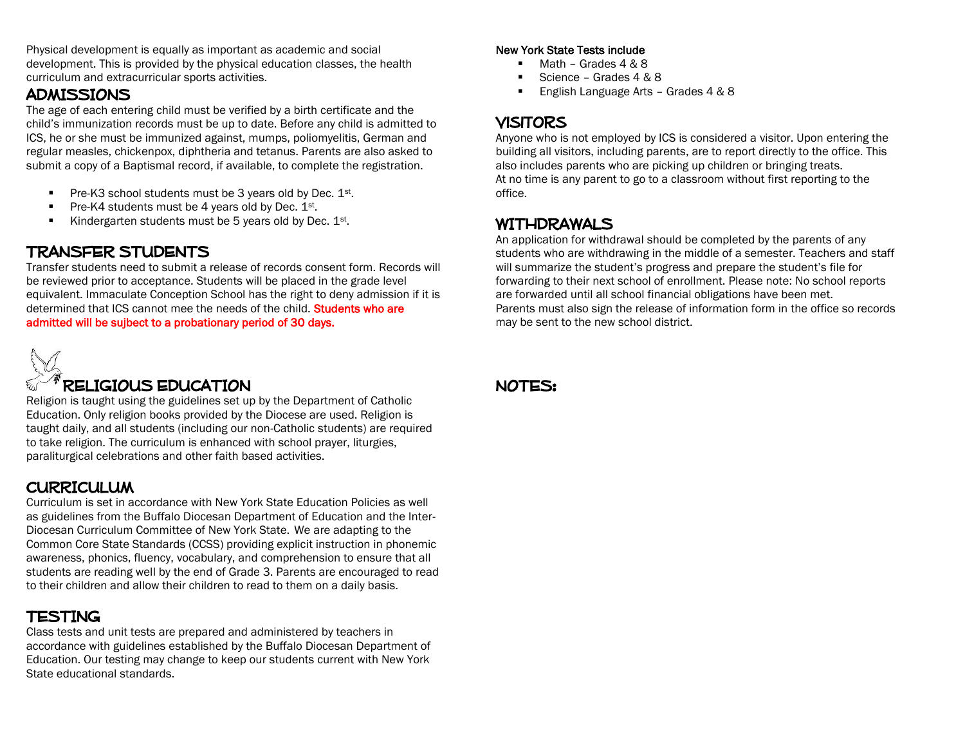Physical development is equally as important as academic and social development. This is provided by the physical education classes, the health curriculum and extracurricular sports activities.

## **ADMISSIONS**

The age of each entering child must be verified by a birth certificate and the child's immunization records must be up to date. Before any child is admitted to ICS, he or she must be immunized against, mumps, poliomyelitis, German and regular measles, chickenpox, diphtheria and tetanus. Parents are also asked to submit a copy of a Baptismal record, if available, to complete the registration.

- Pre-K3 school students must be 3 years old by Dec. 1st.
- Pre-K4 students must be 4 years old by Dec.  $1^{st}$ .
- Kindergarten students must be 5 years old by Dec.  $1^{st}$ .

## TRANSFER STUDENTS

Transfer students need to submit a release of records consent form. Records will be reviewed prior to acceptance. Students will be placed in the grade level equivalent. Immaculate Conception School has the right to deny admission if it is determined that ICS cannot mee the needs of the child. Students who are admitted will be sujbect to a probationary period of 30 days.



# RELIGIOUS EDUCATION

Religion is taught using the guidelines set up by the Department of Catholic Education. Only religion books provided by the Diocese are used. Religion is taught daily, and all students (including our non-Catholic students) are required to take religion. The curriculum is enhanced with school prayer, liturgies, paraliturgical celebrations and other faith based activities.

## **CURRICULUM**

Curriculum is set in accordance with New York State Education Policies as well as guidelines from the Buffalo Diocesan Department of Education and the Inter-Diocesan Curriculum Committee of New York State. We are adapting to the Common Core State Standards (CCSS) providing explicit instruction in phonemic awareness, phonics, fluency, vocabulary, and comprehension to ensure that all students are reading well by the end of Grade 3. Parents are encouraged to read to their children and allow their children to read to them on a daily basis.

## TESTING

Class tests and unit tests are prepared and administered by teachers in accordance with guidelines established by the Buffalo Diocesan Department of Education. Our testing may change to keep our students current with New York State educational standards.

#### New York State Tests include

- Math Grades 4 & 8
- Science Grades 4 & 8
- English Language Arts Grades 4 & 8

## **VISITORS**

Anyone who is not employed by ICS is considered a visitor. Upon entering the building all visitors, including parents, are to report directly to the office. This also includes parents who are picking up children or bringing treats. At no time is any parent to go to a classroom without first reporting to the office.

## WITHDRAWALS

An application for withdrawal should be completed by the parents of any students who are withdrawing in the middle of a semester. Teachers and staff will summarize the student's progress and prepare the student's file for forwarding to their next school of enrollment. Please note: No school reports are forwarded until all school financial obligations have been met. Parents must also sign the release of information form in the office so records may be sent to the new school district.

## NOTES: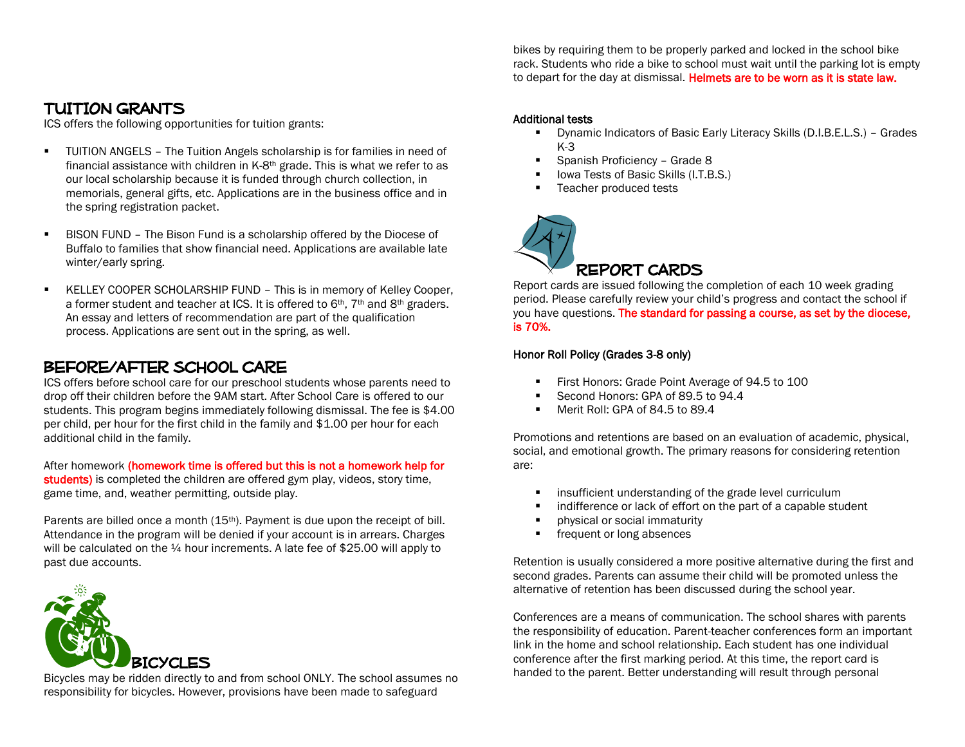bikes by requiring them to be properly parked and locked in the school bike rack. Students who ride a bike to school must wait until the parking lot is empty to depart for the day at dismissal. Helmets are to be worn as it is state law.

## TUITION GRANTS

ICS offers the following opportunities for tuition grants:

- TUITION ANGELS The Tuition Angels scholarship is for families in need of financial assistance with children in K-8th grade. This is what we refer to as our local scholarship because it is funded through church collection, in memorials, general gifts, etc. Applications are in the business office and in the spring registration packet.
- BISON FUND The Bison Fund is a scholarship offered by the Diocese of Buffalo to families that show financial need. Applications are available late winter/early spring.
- KELLEY COOPER SCHOLARSHIP FUND This is in memory of Kelley Cooper, a former student and teacher at ICS. It is offered to 6<sup>th</sup>, 7<sup>th</sup> and 8<sup>th</sup> graders. An essay and letters of recommendation are part of the qualification process. Applications are sent out in the spring, as well.

## Before/after school care

ICS offers before school care for our preschool students whose parents need to drop off their children before the 9AM start. After School Care is offered to our students. This program begins immediately following dismissal. The fee is \$4.00 per child, per hour for the first child in the family and \$1.00 per hour for each additional child in the family.

After homework (homework time is offered but this is not a homework help for students) is completed the children are offered gym play, videos, story time, game time, and, weather permitting, outside play.

Parents are billed once a month (15<sup>th</sup>). Payment is due upon the receipt of bill. Attendance in the program will be denied if your account is in arrears. Charges will be calculated on the  $\frac{1}{4}$  hour increments. A late fee of \$25.00 will apply to past due accounts.



Bicycles may be ridden directly to and from school ONLY. The school assumes no responsibility for bicycles. However, provisions have been made to safeguard

#### Additional tests

- Dynamic Indicators of Basic Early Literacy Skills (D.I.B.E.L.S.) Grades K-3
- Spanish Proficiency Grade 8
- I lowa Tests of Basic Skills (I.T.B.S.)
- Teacher produced tests



Report cards are issued following the completion of each 10 week grading period. Please carefully review your child's progress and contact the school if you have questions. The standard for passing a course, as set by the diocese, is 70%.

#### Honor Roll Policy (Grades 3-8 only)

- First Honors: Grade Point Average of 94.5 to 100
- Second Honors: GPA of 89.5 to 94.4
- Merit Roll: GPA of 84.5 to 89.4

Promotions and retentions are based on an evaluation of academic, physical, social, and emotional growth. The primary reasons for considering retention are:

- **EXECUTE:** insufficient understanding of the grade level curriculum
- **EXECUTE:** indifference or lack of effort on the part of a capable student
- **•** physical or social immaturity
- **Figure 1** frequent or long absences

Retention is usually considered a more positive alternative during the first and second grades. Parents can assume their child will be promoted unless the alternative of retention has been discussed during the school year.

Conferences are a means of communication. The school shares with parents the responsibility of education. Parent-teacher conferences form an important link in the home and school relationship. Each student has one individual conference after the first marking period. At this time, the report card is handed to the parent. Better understanding will result through personal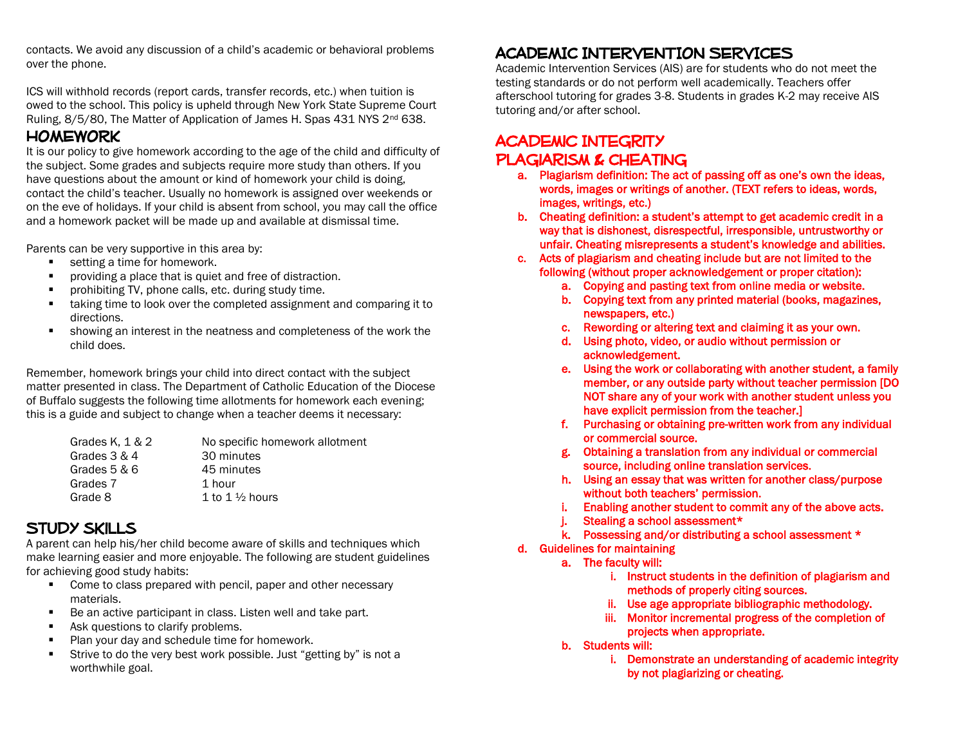contacts. We avoid any discussion of a child's academic or behavioral problems over the phone.

ICS will withhold records (report cards, transfer records, etc.) when tuition is owed to the school. This policy is upheld through New York State Supreme Court Ruling, 8/5/80, The Matter of Application of James H. Spas 431 NYS 2<sup>nd</sup> 638.

## **HOMEWORK**

It is our policy to give homework according to the age of the child and difficulty of the subject. Some grades and subjects require more study than others. If you have questions about the amount or kind of homework your child is doing, contact the child's teacher. Usually no homework is assigned over weekends or on the eve of holidays. If your child is absent from school, you may call the office and a homework packet will be made up and available at dismissal time.

Parents can be very supportive in this area by:

- **setting a time for homework.**
- **PEDIMEDIATE:** providing a place that is quiet and free of distraction.
- prohibiting TV, phone calls, etc. during study time.
- taking time to look over the completed assignment and comparing it to directions.
- showing an interest in the neatness and completeness of the work the child does.

Remember, homework brings your child into direct contact with the subject matter presented in class. The Department of Catholic Education of the Diocese of Buffalo suggests the following time allotments for homework each evening; this is a guide and subject to change when a teacher deems it necessary:

| Grades K, $1 & 2$ | No specific homework allotment |
|-------------------|--------------------------------|
| Grades $3 & 4$    | 30 minutes                     |
| Grades 5 & 6      | 45 minutes                     |
| Grades 7          | 1 hour                         |
| Grade 8           | 1 to 1 $\frac{1}{2}$ hours     |

## Study skills

A parent can help his/her child become aware of skills and techniques which make learning easier and more enjoyable. The following are student guidelines for achieving good study habits:

- **Come to class prepared with pencil, paper and other necessary** materials.
- Be an active participant in class. Listen well and take part.
- Ask questions to clarify problems.
- **Plan your day and schedule time for homework.**
- **Strive to do the very best work possible. Just "getting by" is not a** worthwhile goal.

# ACADEMIC INTERVENTION SERVICES

Academic Intervention Services (AIS) are for students who do not meet the testing standards or do not perform well academically. Teachers offer afterschool tutoring for grades 3-8. Students in grades K-2 may receive AIS tutoring and/or after school.

## **ACADEMIC INTEGRITY** Plagiarism & Cheating

- a. Plagiarism definition: The act of passing off as one's own the ideas, words, images or writings of another. (TEXT refers to ideas, words, images, writings, etc.)
- b. Cheating definition: a student's attempt to get academic credit in a way that is dishonest, disrespectful, irresponsible, untrustworthy or unfair. Cheating misrepresents a student's knowledge and abilities.
- c. Acts of plagiarism and cheating include but are not limited to the following (without proper acknowledgement or proper citation):
	- a. Copying and pasting text from online media or website.
	- b. Copying text from any printed material (books, magazines, newspapers, etc.)
	- c. Rewording or altering text and claiming it as your own.
	- d. Using photo, video, or audio without permission or acknowledgement.
	- e. Using the work or collaborating with another student, a family member, or any outside party without teacher permission [DO NOT share any of your work with another student unless you have explicit permission from the teacher.]
	- f. Purchasing or obtaining pre-written work from any individual or commercial source.
	- g. Obtaining a translation from any individual or commercial source, including online translation services.
	- h. Using an essay that was written for another class/purpose without both teachers' permission.
	- i. Enabling another student to commit any of the above acts.
	- j. Stealing a school assessment\*
	- k. Possessing and/or distributing a school assessment \*
- d. Guidelines for maintaining
	- a. The faculty will:
		- i. Instruct students in the definition of plagiarism and methods of properly citing sources.
		- ii. Use age appropriate bibliographic methodology.
		- iii. Monitor incremental progress of the completion of projects when appropriate.
	- b. Students will:
		- i. Demonstrate an understanding of academic integrity by not plagiarizing or cheating.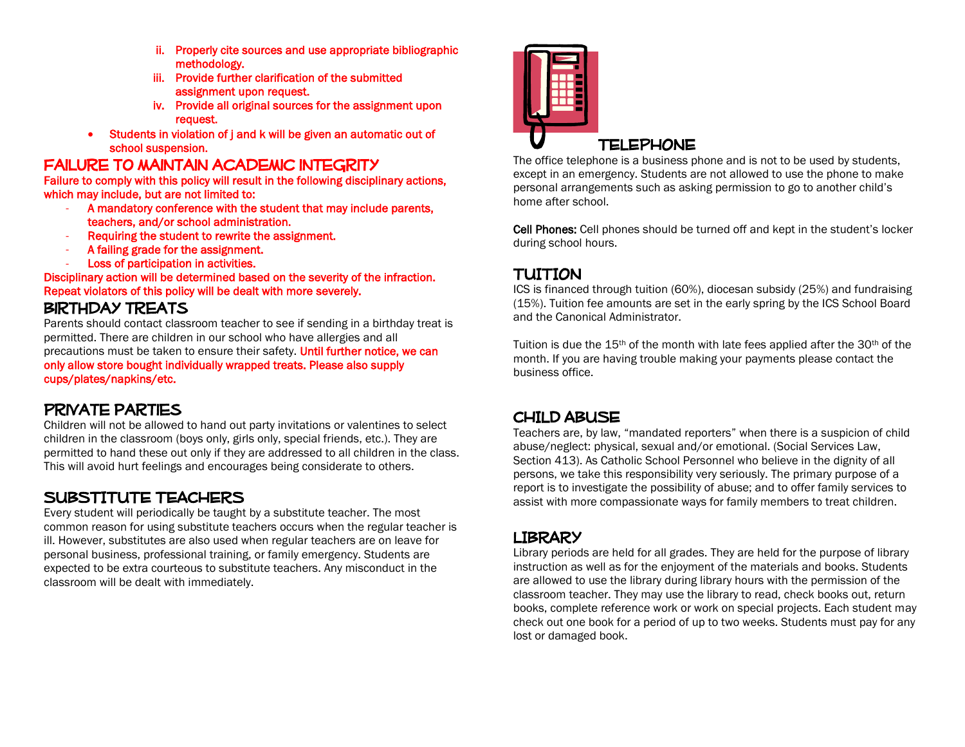- ii. Properly cite sources and use appropriate bibliographic methodology.
- iii. Provide further clarification of the submitted assignment upon request.
- iv. Provide all original sources for the assignment upon request.
- Students in violation of j and k will be given an automatic out of school suspension.

### FAILURE TO MAINTAIN ACADEMIC INTEGRITY

Failure to comply with this policy will result in the following disciplinary actions, which may include, but are not limited to:

- A mandatory conference with the student that may include parents, teachers, and/or school administration.
- Requiring the student to rewrite the assignment.
- A failing grade for the assignment.
- Loss of participation in activities.

Disciplinary action will be determined based on the severity of the infraction. Repeat violators of this policy will be dealt with more severely.

## Birthday treats

Parents should contact classroom teacher to see if sending in a birthday treat is permitted. There are children in our school who have allergies and all precautions must be taken to ensure their safety. Until further notice, we can only allow store bought individually wrapped treats. Please also supply cups/plates/napkins/etc.

## PRIVATE PARTIES

Children will not be allowed to hand out party invitations or valentines to select children in the classroom (boys only, girls only, special friends, etc.). They are permitted to hand these out only if they are addressed to all children in the class. This will avoid hurt feelings and encourages being considerate to others.

## SUBSTITUTE TEACHERS

Every student will periodically be taught by a substitute teacher. The most common reason for using substitute teachers occurs when the regular teacher is ill. However, substitutes are also used when regular teachers are on leave for personal business, professional training, or family emergency. Students are expected to be extra courteous to substitute teachers. Any misconduct in the classroom will be dealt with immediately.



The office telephone is a business phone and is not to be used by students, except in an emergency. Students are not allowed to use the phone to make personal arrangements such as asking permission to go to another child's home after school.

Cell Phones: Cell phones should be turned off and kept in the student's locker during school hours.

## TUITION

ICS is financed through tuition (60%), diocesan subsidy (25%) and fundraising (15%). Tuition fee amounts are set in the early spring by the ICS School Board and the Canonical Administrator.

Tuition is due the 15th of the month with late fees applied after the 30th of the month. If you are having trouble making your payments please contact the business office.

## CHILD ABUSE

Teachers are, by law, "mandated reporters" when there is a suspicion of child abuse/neglect: physical, sexual and/or emotional. (Social Services Law, Section 413). As Catholic School Personnel who believe in the dignity of all persons, we take this responsibility very seriously. The primary purpose of a report is to investigate the possibility of abuse; and to offer family services to assist with more compassionate ways for family members to treat children.

### **LIBRARY**

Library periods are held for all grades. They are held for the purpose of library instruction as well as for the enjoyment of the materials and books. Students are allowed to use the library during library hours with the permission of the classroom teacher. They may use the library to read, check books out, return books, complete reference work or work on special projects. Each student may check out one book for a period of up to two weeks. Students must pay for any lost or damaged book.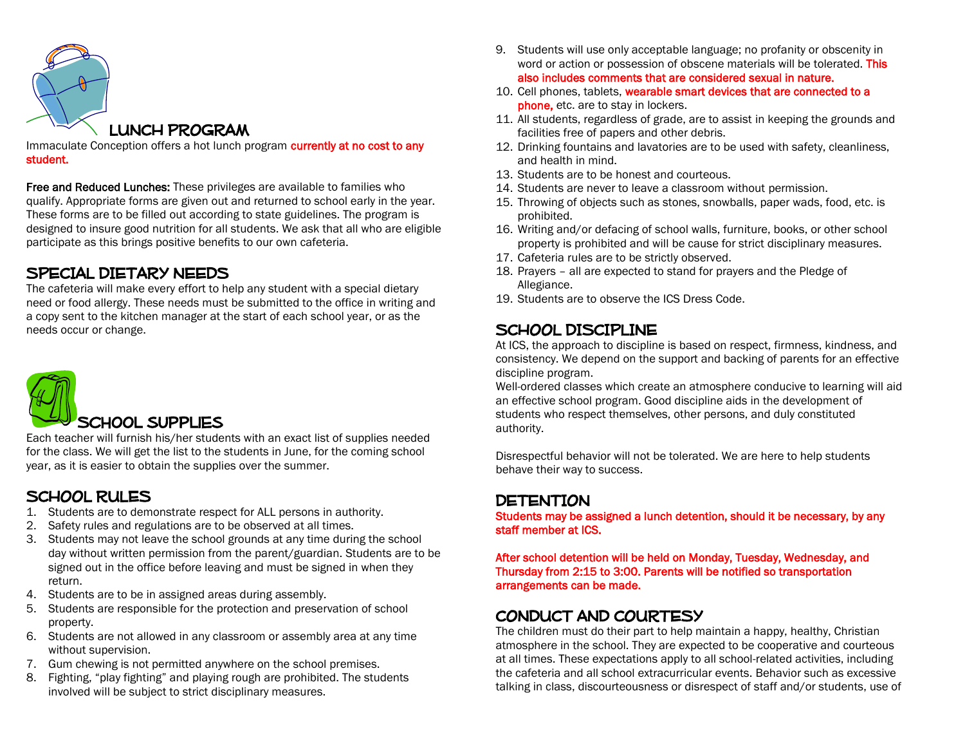

Immaculate Conception offers a hot lunch program currently at no cost to any student.

Free and Reduced Lunches: These privileges are available to families who qualify. Appropriate forms are given out and returned to school early in the year. These forms are to be filled out according to state guidelines. The program is designed to insure good nutrition for all students. We ask that all who are eligible participate as this brings positive benefits to our own cafeteria.

### SPECIAL DIETARY NEEDS

The cafeteria will make every effort to help any student with a special dietary need or food allergy. These needs must be submitted to the office in writing and a copy sent to the kitchen manager at the start of each school year, or as the needs occur or change.



Each teacher will furnish his/her students with an exact list of supplies needed for the class. We will get the list to the students in June, for the coming school year, as it is easier to obtain the supplies over the summer.

## SCHOOL RULES

- 1. Students are to demonstrate respect for ALL persons in authority.
- 2. Safety rules and regulations are to be observed at all times.
- 3. Students may not leave the school grounds at any time during the school day without written permission from the parent/guardian. Students are to be signed out in the office before leaving and must be signed in when they return.
- 4. Students are to be in assigned areas during assembly.
- 5. Students are responsible for the protection and preservation of school property.
- 6. Students are not allowed in any classroom or assembly area at any time without supervision.
- 7. Gum chewing is not permitted anywhere on the school premises.
- 8. Fighting, "play fighting" and playing rough are prohibited. The students involved will be subject to strict disciplinary measures.
- 9. Students will use only acceptable language; no profanity or obscenity in word or action or possession of obscene materials will be tolerated. This also includes comments that are considered sexual in nature.
- 10. Cell phones, tablets, wearable smart devices that are connected to a phone, etc. are to stay in lockers.
- 11. All students, regardless of grade, are to assist in keeping the grounds and facilities free of papers and other debris.
- 12. Drinking fountains and lavatories are to be used with safety, cleanliness, and health in mind.
- 13. Students are to be honest and courteous.
- 14. Students are never to leave a classroom without permission.
- 15. Throwing of objects such as stones, snowballs, paper wads, food, etc. is prohibited.
- 16. Writing and/or defacing of school walls, furniture, books, or other school property is prohibited and will be cause for strict disciplinary measures.
- 17. Cafeteria rules are to be strictly observed.
- 18. Prayers all are expected to stand for prayers and the Pledge of Allegiance.
- 19. Students are to observe the ICS Dress Code.

## SCHOOL DISCIPLINE

At ICS, the approach to discipline is based on respect, firmness, kindness, and consistency. We depend on the support and backing of parents for an effective discipline program.

Well-ordered classes which create an atmosphere conducive to learning will aid an effective school program. Good discipline aids in the development of students who respect themselves, other persons, and duly constituted authority.

Disrespectful behavior will not be tolerated. We are here to help students behave their way to success.

## **DETENTION**

Students may be assigned a lunch detention, should it be necessary, by any staff member at ICS.

After school detention will be held on Monday, Tuesday, Wednesday, and Thursday from 2:15 to 3:00. Parents will be notified so transportation arrangements can be made.

## CONDUCT AND COURTESY

The children must do their part to help maintain a happy, healthy, Christian atmosphere in the school. They are expected to be cooperative and courteous at all times. These expectations apply to all school-related activities, including the cafeteria and all school extracurricular events. Behavior such as excessive talking in class, discourteousness or disrespect of staff and/or students, use of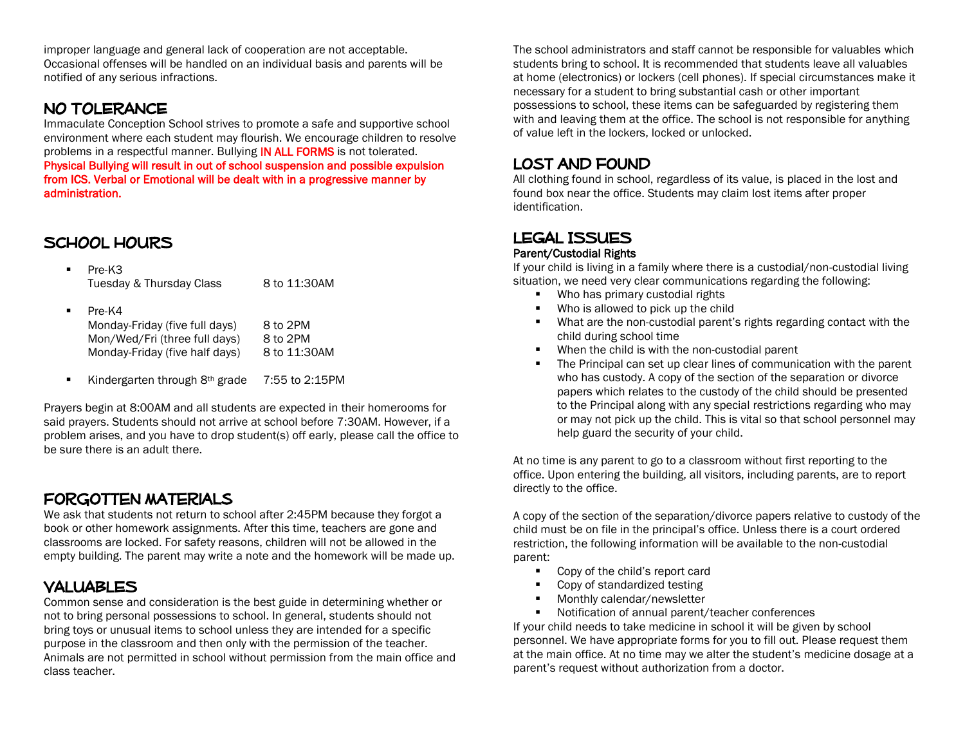improper language and general lack of cooperation are not acceptable. Occasional offenses will be handled on an individual basis and parents will be notified of any serious infractions.

## NO TOLERANCE

Immaculate Conception School strives to promote a safe and supportive school environment where each student may flourish. We encourage children to resolve problems in a respectful manner. Bullying **IN ALL FORMS** is not tolerated. Physical Bullying will result in out of school suspension and possible expulsion from ICS. Verbal or Emotional will be dealt with in a progressive manner by administration.

## SCHOOL HOURS

- Pre-K3 Tuesday & Thursday Class 8 to 11:30AM
- Pre-K4 Monday-Friday (five full days) 8 to 2PM Mon/Wed/Fri (three full days) 8 to 2PM Monday-Friday (five half days) 8 to 11:30AM
- Kindergarten through 8<sup>th</sup> grade 7:55 to 2:15PM

Prayers begin at 8:00AM and all students are expected in their homerooms for said prayers. Students should not arrive at school before 7:30AM. However, if a problem arises, and you have to drop student(s) off early, please call the office to be sure there is an adult there.

## Forgotten materials

We ask that students not return to school after 2:45PM because they forgot a book or other homework assignments. After this time, teachers are gone and classrooms are locked. For safety reasons, children will not be allowed in the empty building. The parent may write a note and the homework will be made up.

### VALUABLES

Common sense and consideration is the best guide in determining whether or not to bring personal possessions to school. In general, students should not bring toys or unusual items to school unless they are intended for a specific purpose in the classroom and then only with the permission of the teacher. Animals are not permitted in school without permission from the main office and class teacher.

The school administrators and staff cannot be responsible for valuables which students bring to school. It is recommended that students leave all valuables at home (electronics) or lockers (cell phones). If special circumstances make it necessary for a student to bring substantial cash or other important possessions to school, these items can be safeguarded by registering them with and leaving them at the office. The school is not responsible for anything of value left in the lockers, locked or unlocked.

### Lost and found

All clothing found in school, regardless of its value, is placed in the lost and found box near the office. Students may claim lost items after proper identification.

## LEGAL ISSUES

#### Parent/Custodial Rights

If your child is living in a family where there is a custodial/non-custodial living situation, we need very clear communications regarding the following:

- **Who has primary custodial rights**
- Who is allowed to pick up the child
- What are the non-custodial parent's rights regarding contact with the child during school time
- When the child is with the non-custodial parent
- The Principal can set up clear lines of communication with the parent who has custody. A copy of the section of the separation or divorce papers which relates to the custody of the child should be presented to the Principal along with any special restrictions regarding who may or may not pick up the child. This is vital so that school personnel may help guard the security of your child.

At no time is any parent to go to a classroom without first reporting to the office. Upon entering the building, all visitors, including parents, are to report directly to the office.

A copy of the section of the separation/divorce papers relative to custody of the child must be on file in the principal's office. Unless there is a court ordered restriction, the following information will be available to the non-custodial parent:

- Copy of the child's report card
- Copy of standardized testing
- **Monthly calendar/newsletter**
- Notification of annual parent/teacher conferences

If your child needs to take medicine in school it will be given by school personnel. We have appropriate forms for you to fill out. Please request them at the main office. At no time may we alter the student's medicine dosage at a parent's request without authorization from a doctor.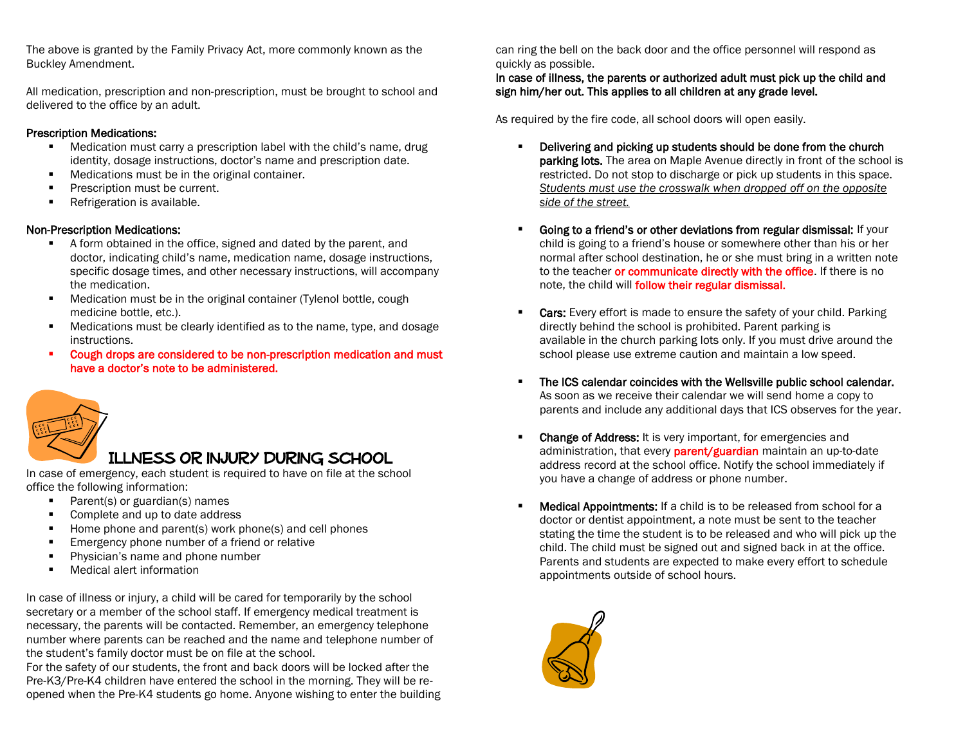The above is granted by the Family Privacy Act, more commonly known as the Buckley Amendment.

All medication, prescription and non-prescription, must be brought to school and delivered to the office by an adult.

#### Prescription Medications:

- Medication must carry a prescription label with the child's name, drug identity, dosage instructions, doctor's name and prescription date.
- **Medications must be in the original container.**
- **Prescription must be current.**
- **Refrigeration is available.**

#### Non-Prescription Medications:

- A form obtained in the office, signed and dated by the parent, and doctor, indicating child's name, medication name, dosage instructions, specific dosage times, and other necessary instructions, will accompany the medication.
- **Medication must be in the original container (Tylenol bottle, cough** medicine bottle, etc.).
- Medications must be clearly identified as to the name, type, and dosage instructions.
- Cough drops are considered to be non-prescription medication and must have a doctor's note to be administered.



## Illness or injury during school

In case of emergency, each student is required to have on file at the school office the following information:

- **Parent(s) or guardian(s) names**
- Complete and up to date address
- $\blacksquare$  Home phone and parent(s) work phone(s) and cell phones
- **Emergency phone number of a friend or relative**
- **Physician's name and phone number**
- Medical alert information

In case of illness or injury, a child will be cared for temporarily by the school secretary or a member of the school staff. If emergency medical treatment is necessary, the parents will be contacted. Remember, an emergency telephone number where parents can be reached and the name and telephone number of the student's family doctor must be on file at the school.

For the safety of our students, the front and back doors will be locked after the Pre-K3/Pre-K4 children have entered the school in the morning. They will be reopened when the Pre-K4 students go home. Anyone wishing to enter the building can ring the bell on the back door and the office personnel will respond as quickly as possible.

#### In case of illness, the parents or authorized adult must pick up the child and sign him/her out. This applies to all children at any grade level.

As required by the fire code, all school doors will open easily.

- **•** Delivering and picking up students should be done from the church **parking lots.** The area on Maple Avenue directly in front of the school is restricted. Do not stop to discharge or pick up students in this space. *Students must use the crosswalk when dropped off on the opposite side of the street.*
- Going to a friend's or other deviations from regular dismissal: If your child is going to a friend's house or somewhere other than his or her normal after school destination, he or she must bring in a written note to the teacher or communicate directly with the office. If there is no note, the child will follow their regular dismissal.
- Cars: Every effort is made to ensure the safety of your child. Parking directly behind the school is prohibited. Parent parking is available in the church parking lots only. If you must drive around the school please use extreme caution and maintain a low speed.
- The ICS calendar coincides with the Wellsville public school calendar. As soon as we receive their calendar we will send home a copy to parents and include any additional days that ICS observes for the year.
- **Change of Address:** It is very important, for emergencies and administration, that every **parent/guardian** maintain an up-to-date address record at the school office. Notify the school immediately if you have a change of address or phone number.
- **Medical Appointments:** If a child is to be released from school for a doctor or dentist appointment, a note must be sent to the teacher stating the time the student is to be released and who will pick up the child. The child must be signed out and signed back in at the office. Parents and students are expected to make every effort to schedule appointments outside of school hours.

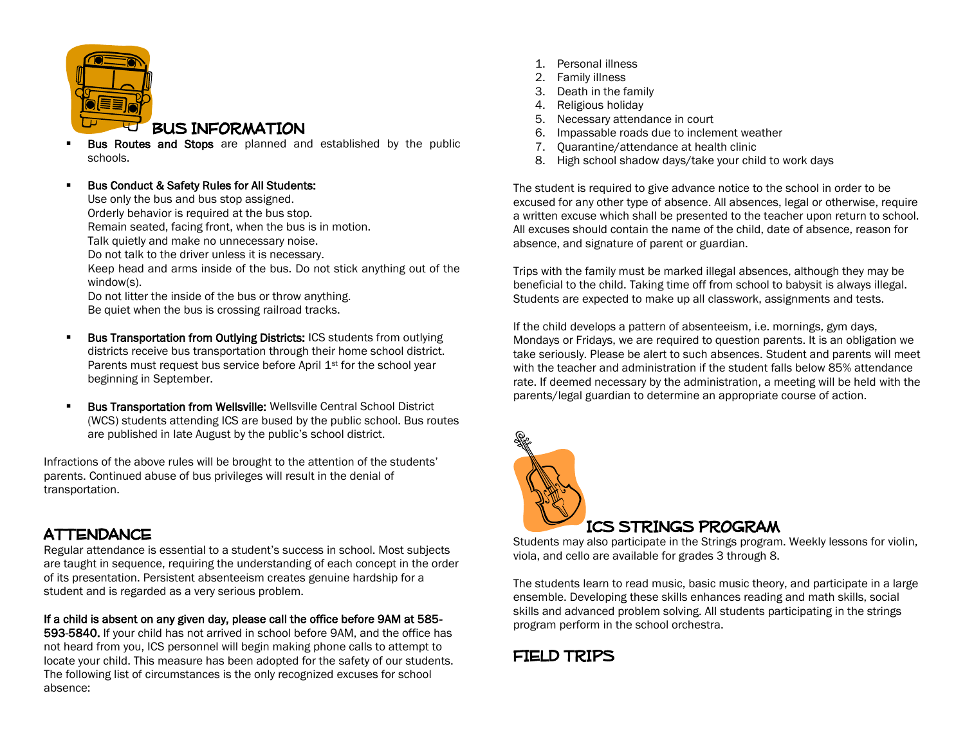

- Bus Routes and Stops are planned and established by the public schools.
- Bus Conduct & Safety Rules for All Students: Use only the bus and bus stop assigned. Orderly behavior is required at the bus stop. Remain seated, facing front, when the bus is in motion. Talk quietly and make no unnecessary noise. Do not talk to the driver unless it is necessary. Keep head and arms inside of the bus. Do not stick anything out of the window(s). Do not litter the inside of the bus or throw anything. Be quiet when the bus is crossing railroad tracks.
- Bus Transportation from Outlying Districts: ICS students from outlying districts receive bus transportation through their home school district. Parents must request bus service before April  $1<sup>st</sup>$  for the school year beginning in September.
- Bus Transportation from Wellsville: Wellsville Central School District (WCS) students attending ICS are bused by the public school. Bus routes are published in late August by the public's school district.

Infractions of the above rules will be brought to the attention of the students' parents. Continued abuse of bus privileges will result in the denial of transportation.

## **ATTENDANCE**

Regular attendance is essential to a student's success in school. Most subjects are taught in sequence, requiring the understanding of each concept in the order of its presentation. Persistent absenteeism creates genuine hardship for a student and is regarded as a very serious problem.

#### If a child is absent on any given day, please call the office before 9AM at 585-

593-5840. If your child has not arrived in school before 9AM, and the office has not heard from you, ICS personnel will begin making phone calls to attempt to locate your child. This measure has been adopted for the safety of our students. The following list of circumstances is the only recognized excuses for school absence:

- 1. Personal illness
- 2. Family illness
- 3. Death in the family
- 4. Religious holiday
- 5. Necessary attendance in court
- 6. Impassable roads due to inclement weather
- 7. Quarantine/attendance at health clinic
- 8. High school shadow days/take your child to work days

The student is required to give advance notice to the school in order to be excused for any other type of absence. All absences, legal or otherwise, require a written excuse which shall be presented to the teacher upon return to school. All excuses should contain the name of the child, date of absence, reason for absence, and signature of parent or guardian.

Trips with the family must be marked illegal absences, although they may be beneficial to the child. Taking time off from school to babysit is always illegal. Students are expected to make up all classwork, assignments and tests.

If the child develops a pattern of absenteeism, i.e. mornings, gym days, Mondays or Fridays, we are required to question parents. It is an obligation we take seriously. Please be alert to such absences. Student and parents will meet with the teacher and administration if the student falls below 85% attendance rate. If deemed necessary by the administration, a meeting will be held with the parents/legal guardian to determine an appropriate course of action.



Students may also participate in the Strings program. Weekly lessons for violin, viola, and cello are available for grades 3 through 8.

The students learn to read music, basic music theory, and participate in a large ensemble. Developing these skills enhances reading and math skills, social skills and advanced problem solving. All students participating in the strings program perform in the school orchestra.

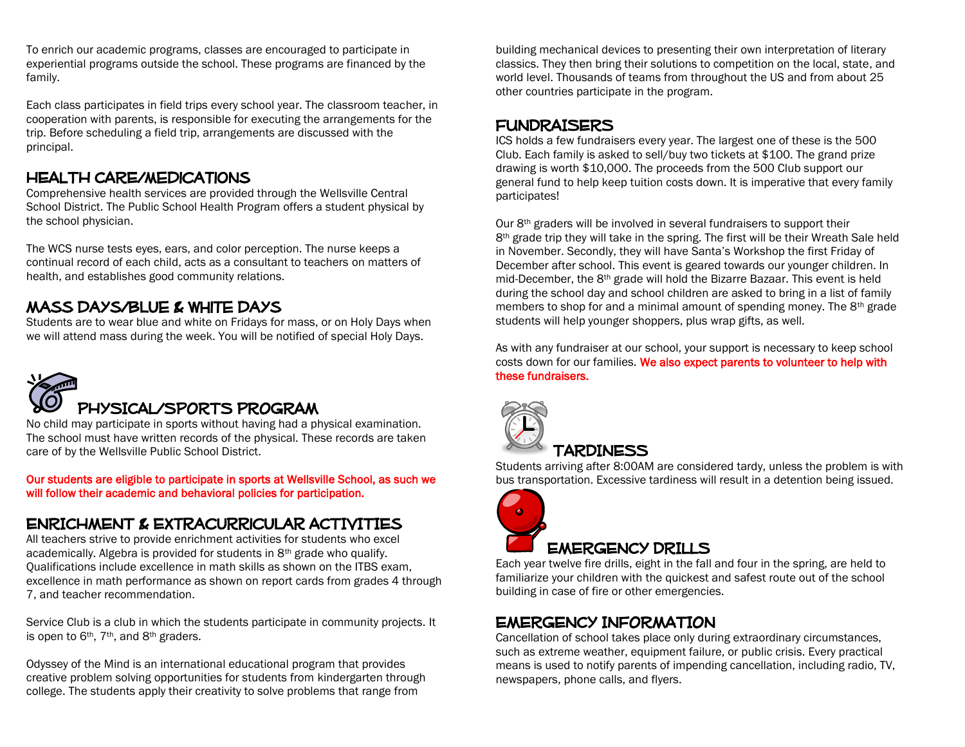To enrich our academic programs, classes are encouraged to participate in experiential programs outside the school. These programs are financed by the family.

Each class participates in field trips every school year. The classroom teacher, in cooperation with parents, is responsible for executing the arrangements for the trip. Before scheduling a field trip, arrangements are discussed with the principal.

### HEALTH CARE/MEDICATIONS

Comprehensive health services are provided through the Wellsville Central School District. The Public School Health Program offers a student physical by the school physician.

The WCS nurse tests eyes, ears, and color perception. The nurse keeps a continual record of each child, acts as a consultant to teachers on matters of health, and establishes good community relations.

## Mass days/blue & white days

Students are to wear blue and white on Fridays for mass, or on Holy Days when we will attend mass during the week. You will be notified of special Holy Days.



No child may participate in sports without having had a physical examination. The school must have written records of the physical. These records are taken care of by the Wellsville Public School District.

Our students are eligible to participate in sports at Wellsville School, as such we will follow their academic and behavioral policies for participation.

## ENRICHMENT & Extracurricular ACTIVITIEs

All teachers strive to provide enrichment activities for students who excel academically. Algebra is provided for students in 8th grade who qualify. Qualifications include excellence in math skills as shown on the ITBS exam, excellence in math performance as shown on report cards from grades 4 through 7, and teacher recommendation.

Service Club is a club in which the students participate in community projects. It is open to 6<sup>th</sup>, 7<sup>th</sup>, and 8<sup>th</sup> graders.

Odyssey of the Mind is an international educational program that provides creative problem solving opportunities for students from kindergarten through college. The students apply their creativity to solve problems that range from

building mechanical devices to presenting their own interpretation of literary classics. They then bring their solutions to competition on the local, state, and world level. Thousands of teams from throughout the US and from about 25 other countries participate in the program.

### FUNDRAISERS

ICS holds a few fundraisers every year. The largest one of these is the 500 Club. Each family is asked to sell/buy two tickets at \$100. The grand prize drawing is worth \$10,000. The proceeds from the 500 Club support our general fund to help keep tuition costs down. It is imperative that every family participates!

Our 8<sup>th</sup> graders will be involved in several fundraisers to support their 8<sup>th</sup> grade trip they will take in the spring. The first will be their Wreath Sale held in November. Secondly, they will have Santa's Workshop the first Friday of December after school. This event is geared towards our younger children. In mid-December, the 8th grade will hold the Bizarre Bazaar. This event is held during the school day and school children are asked to bring in a list of family members to shop for and a minimal amount of spending money. The 8<sup>th</sup> grade students will help younger shoppers, plus wrap gifts, as well.

As with any fundraiser at our school, your support is necessary to keep school costs down for our families. We also expect parents to volunteer to help with these fundraisers.



## **TARDINESS**

Students arriving after 8:00AM are considered tardy, unless the problem is with bus transportation. Excessive tardiness will result in a detention being issued.



## EMERGENCY DRILLS

Each year twelve fire drills, eight in the fall and four in the spring, are held to familiarize your children with the quickest and safest route out of the school building in case of fire or other emergencies.

## EMERGENCY INFORMATION

Cancellation of school takes place only during extraordinary circumstances, such as extreme weather, equipment failure, or public crisis. Every practical means is used to notify parents of impending cancellation, including radio, TV, newspapers, phone calls, and flyers.